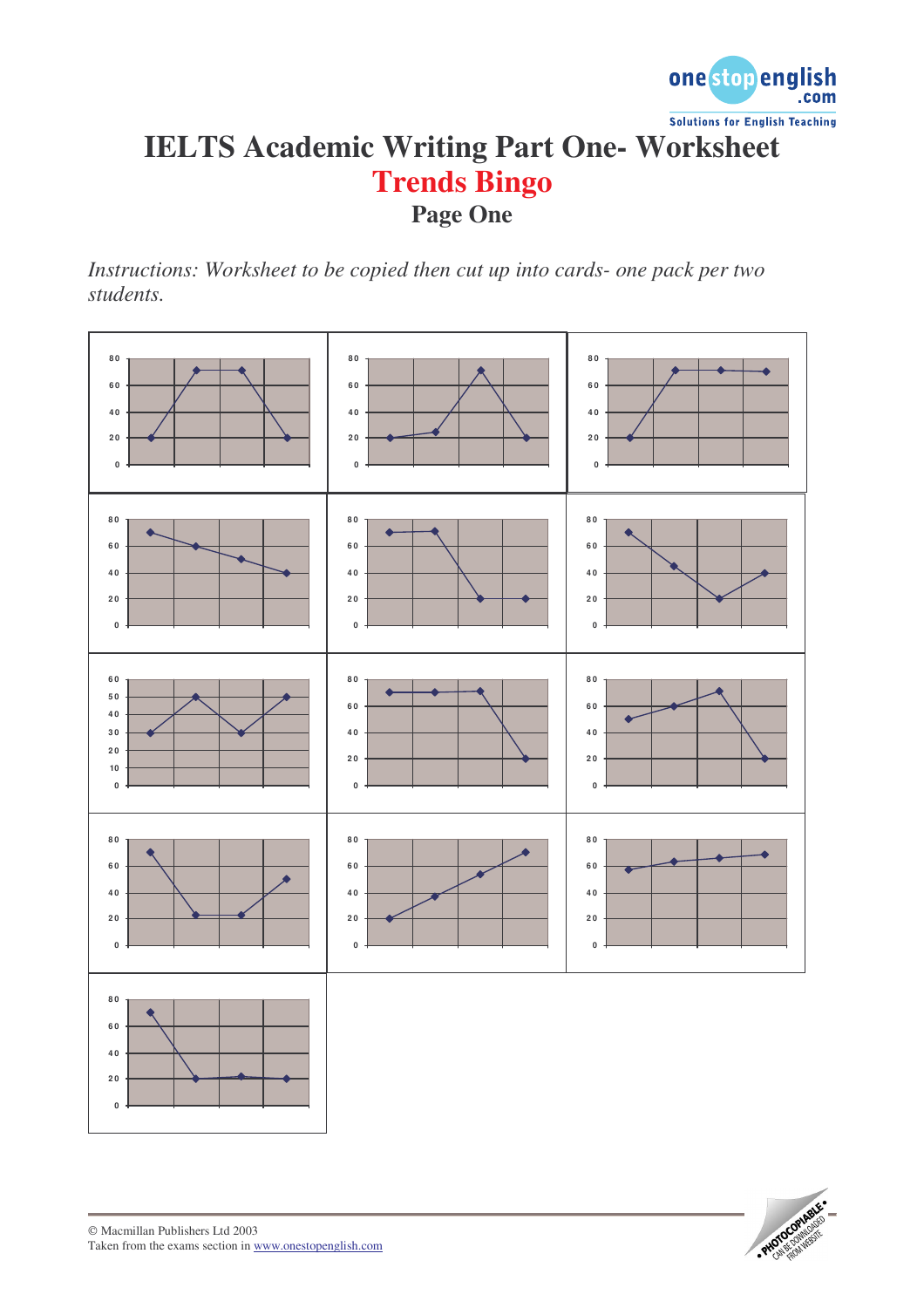

## **IELTS Academic Writing Part One- Worksheet Trends Bingo Page One**

*Instructions: Worksheet to be copied then cut up into cards- one pack per two students.*